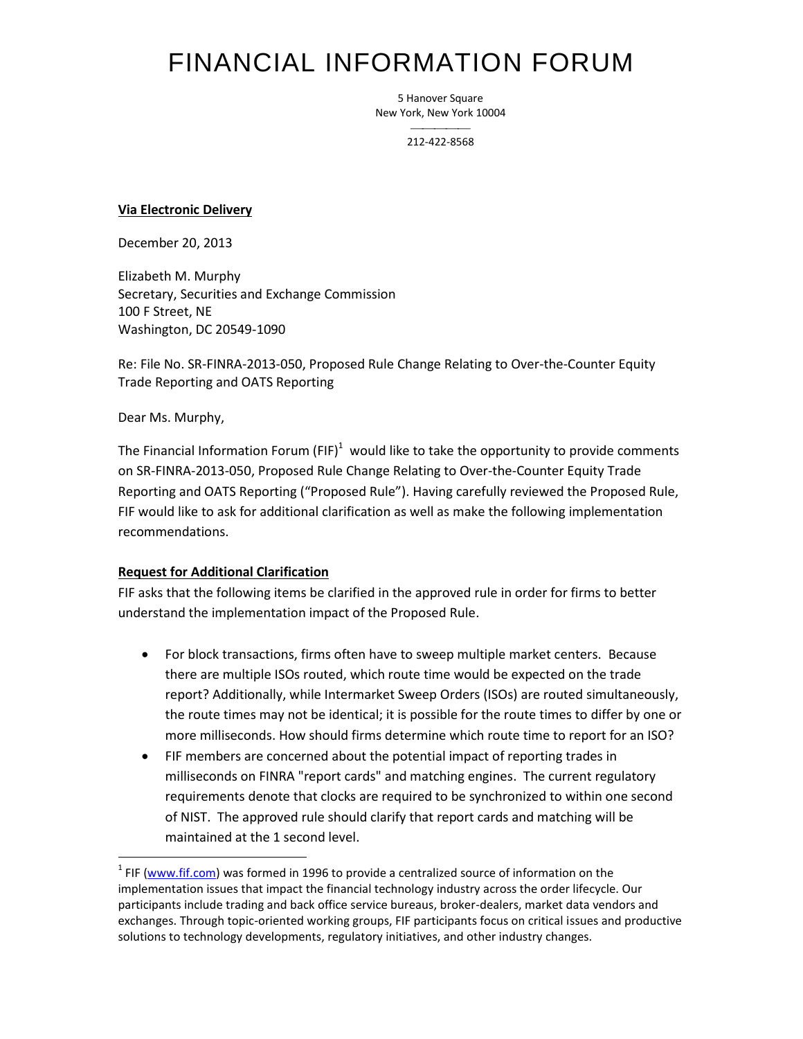# FINANCIAL INFORMATION FORUM

5 Hanover Square New York, New York 10004

> $\overline{\phantom{a}}$ 212-422-8568

#### **Via Electronic Delivery**

December 20, 2013

Elizabeth M. Murphy Secretary, Securities and Exchange Commission 100 F Street, NE Washington, DC 20549-1090

Re: File No. SR-FINRA-2013-050, Proposed Rule Change Relating to Over-the-Counter Equity Trade Reporting and OATS Reporting

Dear Ms. Murphy,

l

The Financial Information Forum  $(FIF)^1$  would like to take the opportunity to provide comments on SR-FINRA-2013-050, Proposed Rule Change Relating to Over-the-Counter Equity Trade Reporting and OATS Reporting ("Proposed Rule"). Having carefully reviewed the Proposed Rule, FIF would like to ask for additional clarification as well as make the following implementation recommendations.

## **Request for Additional Clarification**

FIF asks that the following items be clarified in the approved rule in order for firms to better understand the implementation impact of the Proposed Rule.

- For block transactions, firms often have to sweep multiple market centers. Because there are multiple ISOs routed, which route time would be expected on the trade report? Additionally, while Intermarket Sweep Orders (ISOs) are routed simultaneously, the route times may not be identical; it is possible for the route times to differ by one or more milliseconds. How should firms determine which route time to report for an ISO?
- FIF members are concerned about the potential impact of reporting trades in milliseconds on FINRA "report cards" and matching engines. The current regulatory requirements denote that clocks are required to be synchronized to within one second of NIST. The approved rule should clarify that report cards and matching will be maintained at the 1 second level.

 $1$  FIF (www.fif.com) was formed in 1996 to provide a centralized source of information on the implementation issues that impact the financial technology industry across the order lifecycle. Our participants include trading and back office service bureaus, broker-dealers, market data vendors and exchanges. Through topic-oriented working groups, FIF participants focus on critical issues and productive solutions to technology developments, regulatory initiatives, and other industry changes.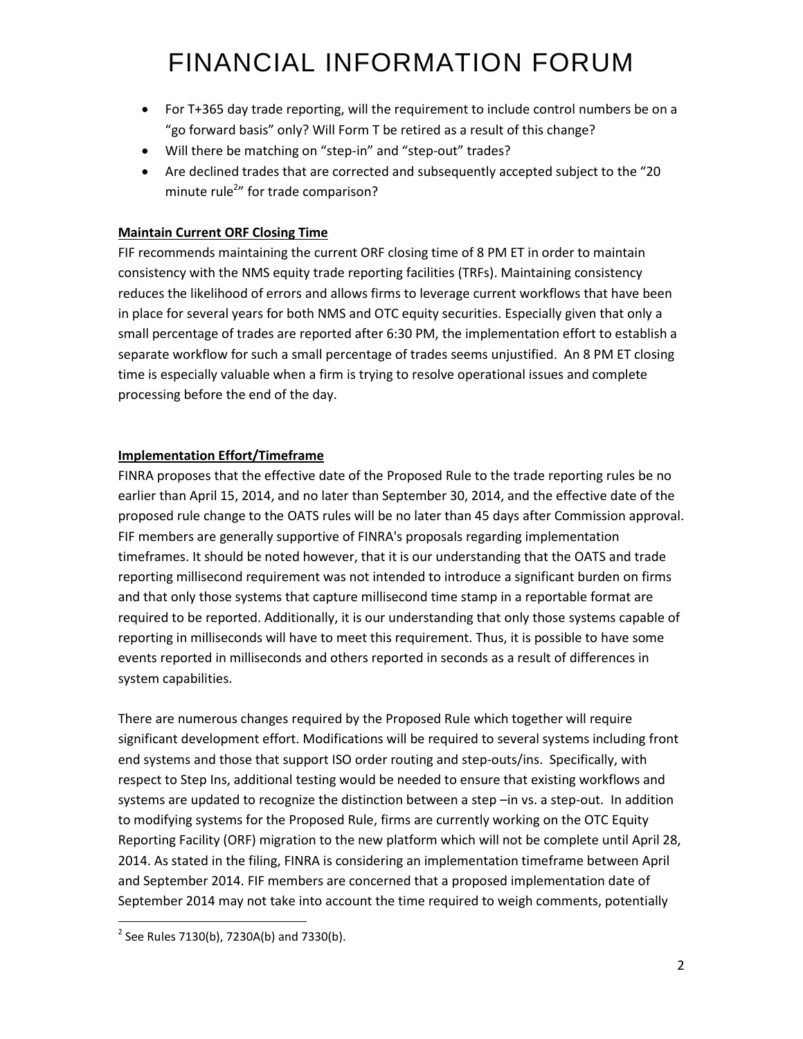# FINANCIAL INFORMATION FORUM

- For T+365 day trade reporting, will the requirement to include control numbers be on a "go forward basis" only? Will Form T be retired as a result of this change?
- Will there be matching on "step-in" and "step-out" trades?
- Are declined trades that are corrected and subsequently accepted subject to the "20 minute rule<sup>2</sup>" for trade comparison?

## **Maintain Current ORF Closing Time**

FIF recommends maintaining the current ORF closing time of 8 PM ET in order to maintain consistency with the NMS equity trade reporting facilities (TRFs). Maintaining consistency reduces the likelihood of errors and allows firms to leverage current workflows that have been in place for several years for both NMS and OTC equity securities. Especially given that only a small percentage of trades are reported after 6:30 PM, the implementation effort to establish a separate workflow for such a small percentage of trades seems unjustified. An 8 PM ET closing time is especially valuable when a firm is trying to resolve operational issues and complete processing before the end of the day.

## **Implementation Effort/Timeframe**

FINRA proposes that the effective date of the Proposed Rule to the trade reporting rules be no earlier than April 15, 2014, and no later than September 30, 2014, and the effective date of the proposed rule change to the OATS rules will be no later than 45 days after Commission approval. FIF members are generally supportive of FINRA's proposals regarding implementation timeframes. It should be noted however, that it is our understanding that the OATS and trade reporting millisecond requirement was not intended to introduce a significant burden on firms and that only those systems that capture millisecond time stamp in a reportable format are required to be reported. Additionally, it is our understanding that only those systems capable of reporting in milliseconds will have to meet this requirement. Thus, it is possible to have some events reported in milliseconds and others reported in seconds as a result of differences in system capabilities.

There are numerous changes required by the Proposed Rule which together will require significant development effort. Modifications will be required to several systems including front end systems and those that support ISO order routing and step-outs/ins. Specifically, with respect to Step Ins, additional testing would be needed to ensure that existing workflows and systems are updated to recognize the distinction between a step-in vs. a step-out. In addition to modifying systems for the Proposed Rule, firms are currently working on the OTC Equity Reporting Facility (ORF) migration to the new platform which will not be complete until April 28, 2014. As stated in the filing, FINRA is considering an implementation timeframe between April and September 2014. FIF members are concerned that a proposed implementation date of September 2014 may not take into account the time required to weigh comments, potentially

 $\overline{\phantom{a}}$ 

 $2$  See Rules 7130(b), 7230A(b) and 7330(b).